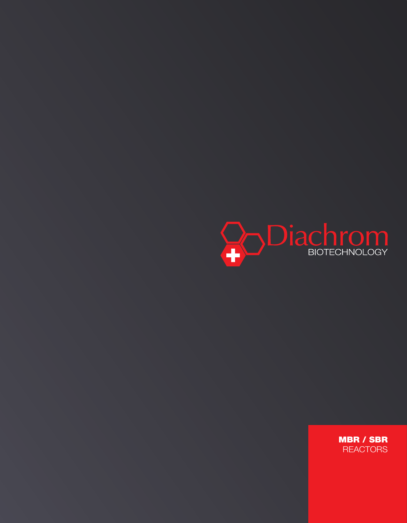

mbr / sbr **REACTORS**